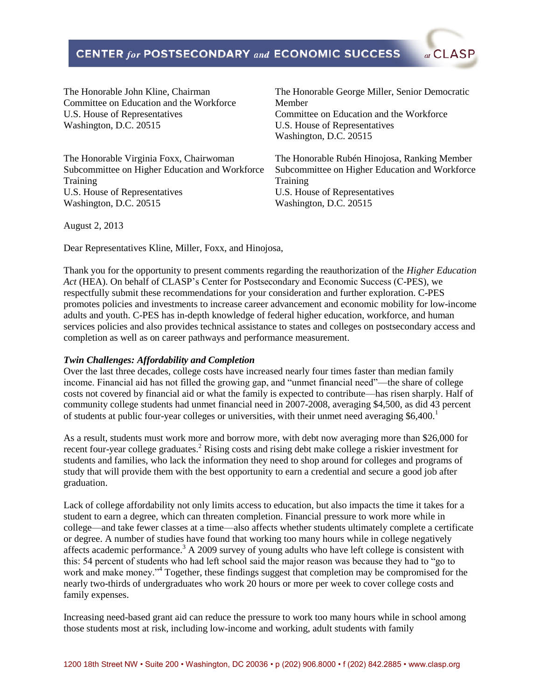# **CENTER for POSTSECONDARY and ECONOMIC SUCCESS**

The Honorable John Kline, Chairman Committee on Education and the Workforce U.S. House of Representatives Washington, D.C. 20515

The Honorable Virginia Foxx, Chairwoman Subcommittee on Higher Education and Workforce Training U.S. House of Representatives Washington, D.C. 20515

The Honorable George Miller, Senior Democratic Member Committee on Education and the Workforce U.S. House of Representatives Washington, D.C. 20515

at CLASP

The Honorable Rubén Hinojosa, Ranking Member Subcommittee on Higher Education and Workforce Training U.S. House of Representatives Washington, D.C. 20515

August 2, 2013

Dear Representatives Kline, Miller, Foxx, and Hinojosa,

Thank you for the opportunity to present comments regarding the reauthorization of the *Higher Education Act* (HEA). On behalf of CLASP's Center for Postsecondary and Economic Success (C-PES), we respectfully submit these recommendations for your consideration and further exploration. C-PES promotes policies and investments to increase career advancement and economic mobility for low-income adults and youth. C-PES has in-depth knowledge of federal higher education, workforce, and human services policies and also provides technical assistance to states and colleges on postsecondary access and completion as well as on career pathways and performance measurement.

### *Twin Challenges: Affordability and Completion*

Over the last three decades, college costs have increased nearly four times faster than median family income. Financial aid has not filled the growing gap, and "unmet financial need"—the share of college costs not covered by financial aid or what the family is expected to contribute—has risen sharply. Half of community college students had unmet financial need in 2007-2008, averaging \$4,500, as did 43 percent of students at public four-year colleges or universities, with their unmet need averaging  $$6,400$ .<sup>1</sup>

As a result, students must work more and borrow more, with debt now averaging more than \$26,000 for recent four-year college graduates.<sup>2</sup> Rising costs and rising debt make college a riskier investment for students and families, who lack the information they need to shop around for colleges and programs of study that will provide them with the best opportunity to earn a credential and secure a good job after graduation.

Lack of college affordability not only limits access to education, but also impacts the time it takes for a student to earn a degree, which can threaten completion. Financial pressure to work more while in college—and take fewer classes at a time—also affects whether students ultimately complete a certificate or degree. A number of studies have found that working too many hours while in college negatively affects academic performance.<sup>3</sup> A 2009 survey of young adults who have left college is consistent with this: 54 percent of students who had left school said the major reason was because they had to "go to work and make money."<sup>4</sup> Together, these findings suggest that completion may be compromised for the nearly two-thirds of undergraduates who work 20 hours or more per week to cover college costs and family expenses.

Increasing need-based grant aid can reduce the pressure to work too many hours while in school among those students most at risk, including low-income and working, adult students with family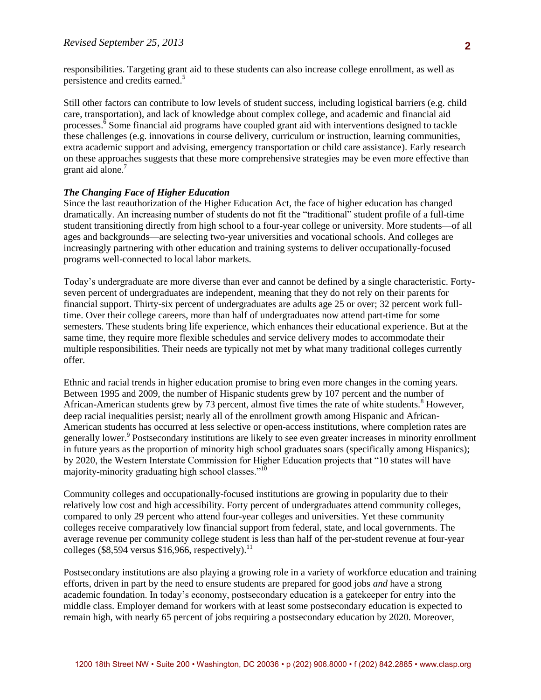Still other factors can contribute to low levels of student success, including logistical barriers (e.g. child care, transportation), and lack of knowledge about complex college, and academic and financial aid processes. $\delta$  Some financial aid programs have coupled grant aid with interventions designed to tackle these challenges (e.g. innovations in course delivery, curriculum or instruction, learning communities, extra academic support and advising, emergency transportation or child care assistance). Early research on these approaches suggests that these more comprehensive strategies may be even more effective than grant aid alone.<sup>7</sup>

#### *The Changing Face of Higher Education*

Since the last reauthorization of the Higher Education Act, the face of higher education has changed dramatically. An increasing number of students do not fit the "traditional" student profile of a full-time student transitioning directly from high school to a four-year college or university. More students—of all ages and backgrounds—are selecting two-year universities and vocational schools. And colleges are increasingly partnering with other education and training systems to deliver occupationally-focused programs well-connected to local labor markets.

Today's undergraduate are more diverse than ever and cannot be defined by a single characteristic. Fortyseven percent of undergraduates are independent, meaning that they do not rely on their parents for financial support. Thirty-six percent of undergraduates are adults age 25 or over; 32 percent work fulltime. Over their college careers, more than half of undergraduates now attend part-time for some semesters. These students bring life experience, which enhances their educational experience. But at the same time, they require more flexible schedules and service delivery modes to accommodate their multiple responsibilities. Their needs are typically not met by what many traditional colleges currently offer.

Ethnic and racial trends in higher education promise to bring even more changes in the coming years. Between 1995 and 2009, the number of Hispanic students grew by 107 percent and the number of African-American students grew by 73 percent, almost five times the rate of white students.<sup>8</sup> However, deep racial inequalities persist; nearly all of the enrollment growth among Hispanic and African-American students has occurred at less selective or open-access institutions, where completion rates are generally lower.<sup>9</sup> Postsecondary institutions are likely to see even greater increases in minority enrollment in future years as the proportion of minority high school graduates soars (specifically among Hispanics); by 2020, the Western Interstate Commission for Higher Education projects that "10 states will have majority-minority graduating high school classes."<sup>10</sup>

Community colleges and occupationally-focused institutions are growing in popularity due to their relatively low cost and high accessibility. Forty percent of undergraduates attend community colleges, compared to only 29 percent who attend four-year colleges and universities. Yet these community colleges receive comparatively low financial support from federal, state, and local governments. The average revenue per community college student is less than half of the per-student revenue at four-year colleges (\$8,594 versus \$16,966, respectively).<sup>11</sup>

Postsecondary institutions are also playing a growing role in a variety of workforce education and training efforts, driven in part by the need to ensure students are prepared for good jobs *and* have a strong academic foundation. In today's economy, postsecondary education is a gatekeeper for entry into the middle class. Employer demand for workers with at least some postsecondary education is expected to remain high, with nearly 65 percent of jobs requiring a postsecondary education by 2020. Moreover,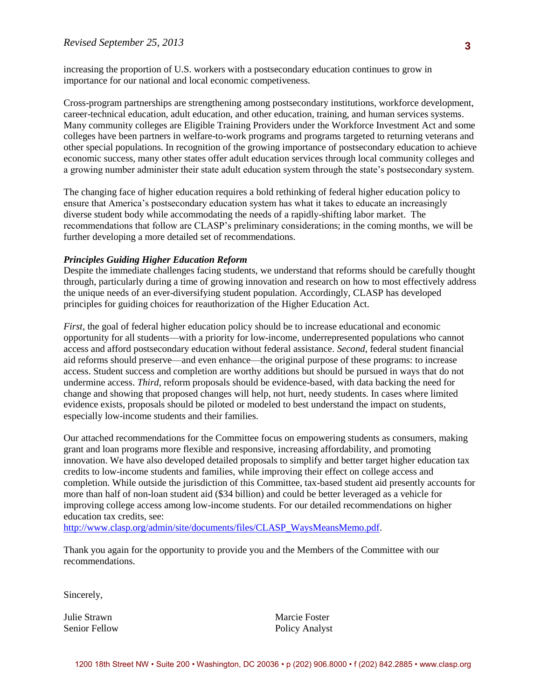importance for our national and local economic competiveness. increasing the proportion of U.S. workers with a postsecondary education continues to grow in

Cross-program partnerships are strengthening among postsecondary institutions, workforce development, career-technical education, adult education, and other education, training, and human services systems. Many community colleges are Eligible Training Providers under the Workforce Investment Act and some colleges have been partners in welfare-to-work programs and programs targeted to returning veterans and other special populations. In recognition of the growing importance of postsecondary education to achieve economic success, many other states offer adult education services through local community colleges and a growing number administer their state adult education system through the state's postsecondary system.

The changing face of higher education requires a bold rethinking of federal higher education policy to ensure that America's postsecondary education system has what it takes to educate an increasingly diverse student body while accommodating the needs of a rapidly-shifting labor market. The recommendations that follow are CLASP's preliminary considerations; in the coming months, we will be further developing a more detailed set of recommendations.

#### *Principles Guiding Higher Education Reform*

Despite the immediate challenges facing students, we understand that reforms should be carefully thought through, particularly during a time of growing innovation and research on how to most effectively address the unique needs of an ever-diversifying student population. Accordingly, CLASP has developed principles for guiding choices for reauthorization of the Higher Education Act.

*First*, the goal of federal higher education policy should be to increase educational and economic opportunity for all students—with a priority for low-income, underrepresented populations who cannot access and afford postsecondary education without federal assistance. *Second*, federal student financial aid reforms should preserve—and even enhance—the original purpose of these programs: to increase access. Student success and completion are worthy additions but should be pursued in ways that do not undermine access. *Third*, reform proposals should be evidence-based, with data backing the need for change and showing that proposed changes will help, not hurt, needy students. In cases where limited evidence exists, proposals should be piloted or modeled to best understand the impact on students, especially low-income students and their families.

Our attached recommendations for the Committee focus on empowering students as consumers, making grant and loan programs more flexible and responsive, increasing affordability, and promoting innovation. We have also developed detailed proposals to simplify and better target higher education tax credits to low-income students and families, while improving their effect on college access and completion. While outside the jurisdiction of this Committee, tax-based student aid presently accounts for more than half of non-loan student aid (\$34 billion) and could be better leveraged as a vehicle for improving college access among low-income students. For our detailed recommendations on higher education tax credits, see:

[http://www.clasp.org/admin/site/documents/files/CLASP\\_WaysMeansMemo.pdf.](http://www.clasp.org/admin/site/documents/files/CLASP_WaysMeansMemo.pdf)

Thank you again for the opportunity to provide you and the Members of the Committee with our recommendations.

Sincerely,

Julie Strawn Senior Fellow

Marcie Foster Policy Analyst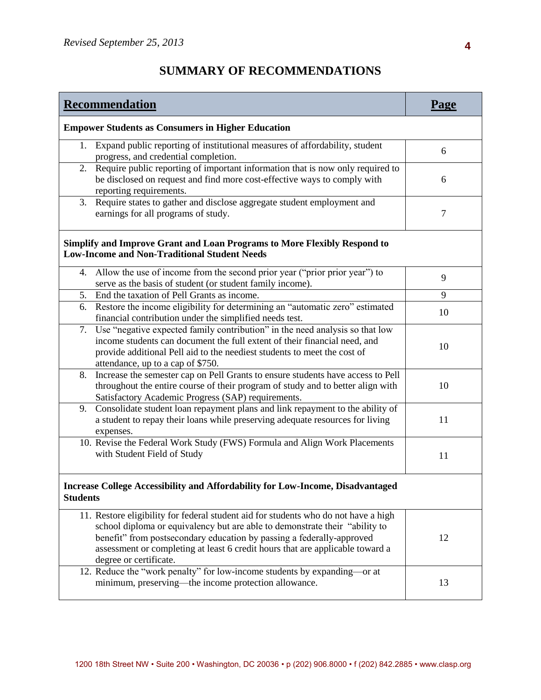# **SUMMARY OF RECOMMENDATIONS**

| Recommendation                                                                                                                                                                                                                                                                                                                                         | Page   |  |
|--------------------------------------------------------------------------------------------------------------------------------------------------------------------------------------------------------------------------------------------------------------------------------------------------------------------------------------------------------|--------|--|
| <b>Empower Students as Consumers in Higher Education</b>                                                                                                                                                                                                                                                                                               |        |  |
| Expand public reporting of institutional measures of affordability, student<br>1.<br>progress, and credential completion.                                                                                                                                                                                                                              | 6      |  |
| Require public reporting of important information that is now only required to<br>2.<br>be disclosed on request and find more cost-effective ways to comply with<br>reporting requirements.                                                                                                                                                            | 6      |  |
| Require states to gather and disclose aggregate student employment and<br>3.<br>earnings for all programs of study.                                                                                                                                                                                                                                    | $\tau$ |  |
| Simplify and Improve Grant and Loan Programs to More Flexibly Respond to<br><b>Low-Income and Non-Traditional Student Needs</b>                                                                                                                                                                                                                        |        |  |
| Allow the use of income from the second prior year ("prior prior year") to<br>4.<br>serve as the basis of student (or student family income).                                                                                                                                                                                                          | 9      |  |
| 5. End the taxation of Pell Grants as income.                                                                                                                                                                                                                                                                                                          | 9      |  |
| Restore the income eligibility for determining an "automatic zero" estimated<br>6.<br>financial contribution under the simplified needs test.                                                                                                                                                                                                          | 10     |  |
| Use "negative expected family contribution" in the need analysis so that low<br>7.<br>income students can document the full extent of their financial need, and<br>provide additional Pell aid to the neediest students to meet the cost of<br>attendance, up to a cap of \$750.                                                                       | 10     |  |
| Increase the semester cap on Pell Grants to ensure students have access to Pell<br>8.<br>throughout the entire course of their program of study and to better align with<br>Satisfactory Academic Progress (SAP) requirements.                                                                                                                         | 10     |  |
| Consolidate student loan repayment plans and link repayment to the ability of<br>9.<br>a student to repay their loans while preserving adequate resources for living<br>expenses.                                                                                                                                                                      | 11     |  |
| 10. Revise the Federal Work Study (FWS) Formula and Align Work Placements<br>with Student Field of Study                                                                                                                                                                                                                                               | 11     |  |
| Increase College Accessibility and Affordability for Low-Income, Disadvantaged<br><b>Students</b>                                                                                                                                                                                                                                                      |        |  |
| 11. Restore eligibility for federal student aid for students who do not have a high<br>school diploma or equivalency but are able to demonstrate their "ability to<br>benefit" from postsecondary education by passing a federally-approved<br>assessment or completing at least 6 credit hours that are applicable toward a<br>degree or certificate. | 12     |  |
| 12. Reduce the "work penalty" for low-income students by expanding—or at<br>minimum, preserving—the income protection allowance.                                                                                                                                                                                                                       | 13     |  |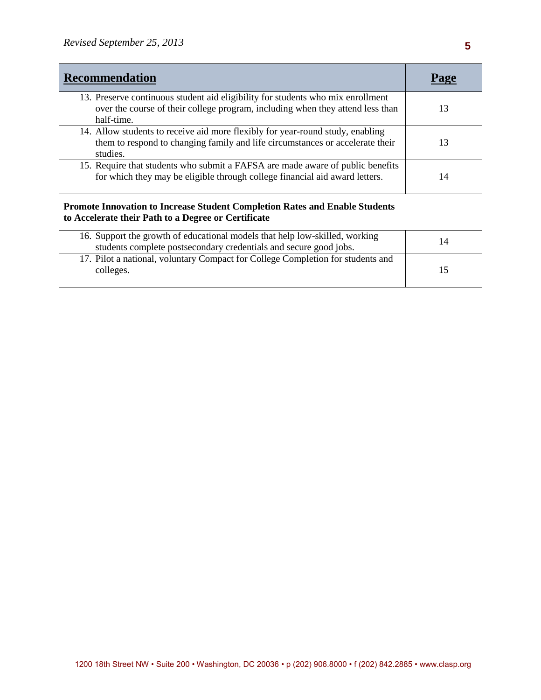| <b>Recommendation</b>                                                                                                                                                           |    |  |
|---------------------------------------------------------------------------------------------------------------------------------------------------------------------------------|----|--|
| 13. Preserve continuous student aid eligibility for students who mix enrollment<br>over the course of their college program, including when they attend less than<br>half-time. | 13 |  |
| 14. Allow students to receive aid more flexibly for year-round study, enabling<br>them to respond to changing family and life circumstances or accelerate their<br>studies.     | 13 |  |
| 15. Require that students who submit a FAFSA are made aware of public benefits<br>for which they may be eligible through college financial aid award letters.                   | 14 |  |
| <b>Promote Innovation to Increase Student Completion Rates and Enable Students</b><br>to Accelerate their Path to a Degree or Certificate                                       |    |  |
| 16. Support the growth of educational models that help low-skilled, working<br>students complete postsecondary credentials and secure good jobs.                                | 14 |  |
| 17. Pilot a national, voluntary Compact for College Completion for students and<br>colleges.                                                                                    | 15 |  |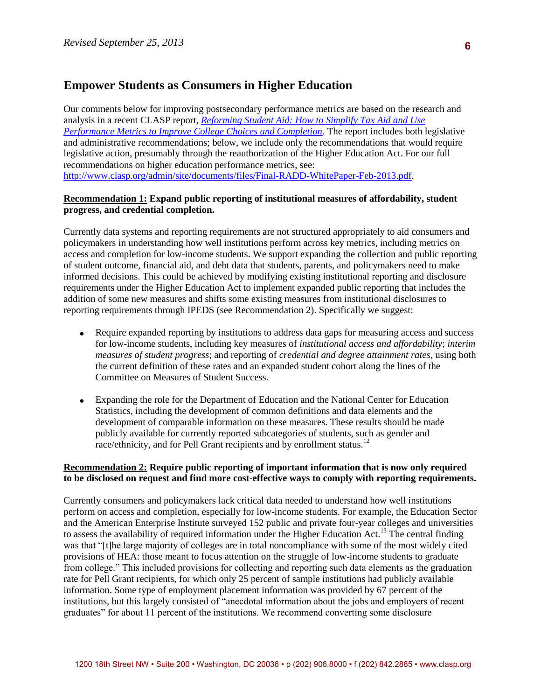# **Empower Students as Consumers in Higher Education**

Our comments below for improving postsecondary performance metrics are based on the research and analysis in a recent CLASP report*, [Reforming Student Aid: How to Simplify Tax Aid and Use](http://www.clasp.org/admin/site/documents/files/Final-RADD-WhitePaper-Feb-2013.pdf)  [Performance Metrics to Improve College Choices and Completion](http://www.clasp.org/admin/site/documents/files/Final-RADD-WhitePaper-Feb-2013.pdf)*. The report includes both legislative and administrative recommendations; below, we include only the recommendations that would require legislative action, presumably through the reauthorization of the Higher Education Act. For our full recommendations on higher education performance metrics, see: [http://www.clasp.org/admin/site/documents/files/Final-RADD-WhitePaper-Feb-2013.pdf.](http://www.clasp.org/admin/site/documents/files/Final-RADD-WhitePaper-Feb-2013.pdf)

### **Recommendation 1: Expand public reporting of institutional measures of affordability, student progress, and credential completion.**

Currently data systems and reporting requirements are not structured appropriately to aid consumers and policymakers in understanding how well institutions perform across key metrics, including metrics on access and completion for low-income students. We support expanding the collection and public reporting of student outcome, financial aid, and debt data that students, parents, and policymakers need to make informed decisions. This could be achieved by modifying existing institutional reporting and disclosure requirements under the Higher Education Act to implement expanded public reporting that includes the addition of some new measures and shifts some existing measures from institutional disclosures to reporting requirements through IPEDS (see Recommendation 2). Specifically we suggest:

- Require expanded reporting by institutions to address data gaps for measuring access and success for low-income students, including key measures of *institutional access and affordability*; *interim measures of student progress*; and reporting of *credential and degree attainment rates*, using both the current definition of these rates and an expanded student cohort along the lines of the Committee on Measures of Student Success.
- Expanding the role for the Department of Education and the National Center for Education Statistics, including the development of common definitions and data elements and the development of comparable information on these measures. These results should be made publicly available for currently reported subcategories of students, such as gender and race/ethnicity, and for Pell Grant recipients and by enrollment status.<sup>12</sup>

#### **Recommendation 2: Require public reporting of important information that is now only required to be disclosed on request and find more cost-effective ways to comply with reporting requirements.**

Currently consumers and policymakers lack critical data needed to understand how well institutions perform on access and completion, especially for low-income students. For example, the Education Sector and the American Enterprise Institute surveyed 152 public and private four-year colleges and universities to assess the availability of required information under the Higher Education Act.<sup>13</sup> The central finding was that "[t]he large majority of colleges are in total noncompliance with some of the most widely cited provisions of HEA: those meant to focus attention on the struggle of low-income students to graduate from college." This included provisions for collecting and reporting such data elements as the graduation rate for Pell Grant recipients, for which only 25 percent of sample institutions had publicly available information. Some type of employment placement information was provided by 67 percent of the institutions, but this largely consisted of "anecdotal information about the jobs and employers of recent graduates" for about 11 percent of the institutions. We recommend converting some disclosure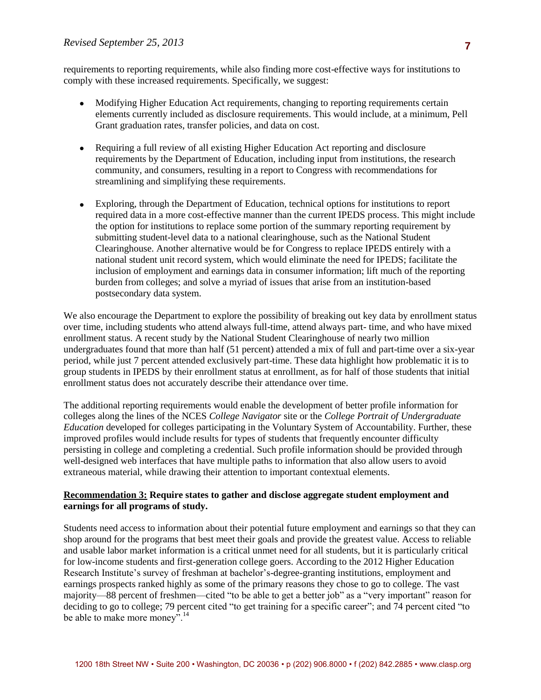comply with these increased requirements. Specifically, we suggest: requirements to reporting requirements, while also finding more cost-effective ways for institutions to

- Modifying Higher Education Act requirements, changing to reporting requirements certain elements currently included as disclosure requirements. This would include, at a minimum, Pell Grant graduation rates, transfer policies, and data on cost.
- Requiring a full review of all existing Higher Education Act reporting and disclosure requirements by the Department of Education, including input from institutions, the research community, and consumers, resulting in a report to Congress with recommendations for streamlining and simplifying these requirements.
- Exploring, through the Department of Education, technical options for institutions to report required data in a more cost-effective manner than the current IPEDS process. This might include the option for institutions to replace some portion of the summary reporting requirement by submitting student-level data to a national clearinghouse, such as the National Student Clearinghouse. Another alternative would be for Congress to replace IPEDS entirely with a national student unit record system, which would eliminate the need for IPEDS; facilitate the inclusion of employment and earnings data in consumer information; lift much of the reporting burden from colleges; and solve a myriad of issues that arise from an institution-based postsecondary data system.

We also encourage the Department to explore the possibility of breaking out key data by enrollment status over time, including students who attend always full-time, attend always part- time, and who have mixed enrollment status. A recent study by the National Student Clearinghouse of nearly two million undergraduates found that more than half (51 percent) attended a mix of full and part-time over a six-year period, while just 7 percent attended exclusively part-time. These data highlight how problematic it is to group students in IPEDS by their enrollment status at enrollment, as for half of those students that initial enrollment status does not accurately describe their attendance over time.

The additional reporting requirements would enable the development of better profile information for colleges along the lines of the NCES *College Navigator* site or the *College Portrait of Undergraduate Education* developed for colleges participating in the Voluntary System of Accountability. Further, these improved profiles would include results for types of students that frequently encounter difficulty persisting in college and completing a credential. Such profile information should be provided through well-designed web interfaces that have multiple paths to information that also allow users to avoid extraneous material, while drawing their attention to important contextual elements.

## **Recommendation 3: Require states to gather and disclose aggregate student employment and earnings for all programs of study.**

Students need access to information about their potential future employment and earnings so that they can shop around for the programs that best meet their goals and provide the greatest value. Access to reliable and usable labor market information is a critical unmet need for all students, but it is particularly critical for low-income students and first-generation college goers. According to the 2012 Higher Education Research Institute's survey of freshman at bachelor's-degree-granting institutions, employment and earnings prospects ranked highly as some of the primary reasons they chose to go to college. The vast majority—88 percent of freshmen—cited "to be able to get a better job" as a "very important" reason for deciding to go to college; 79 percent cited "to get training for a specific career"; and 74 percent cited "to be able to make more money".<sup>14</sup>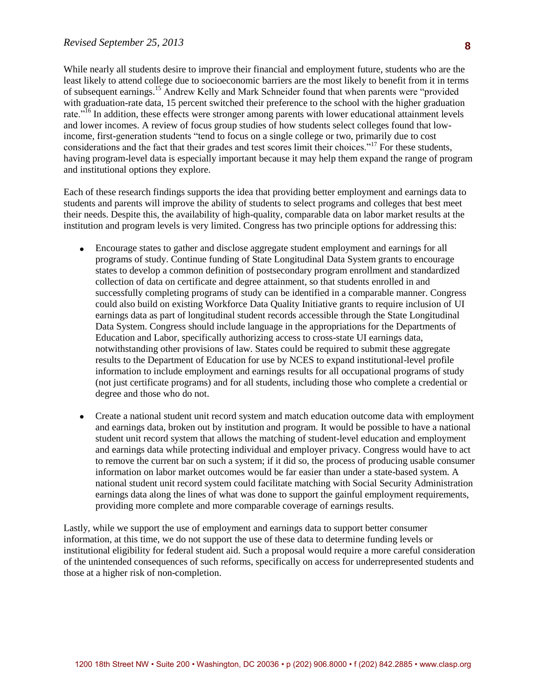least likely to attend college due to socioeconomic barriers are the most likely to benefit from it in terms While nearly all students desire to improve their financial and employment future, students who are the of subsequent earnings.<sup>15</sup> Andrew Kelly and Mark Schneider found that when parents were "provided with graduation-rate data, 15 percent switched their preference to the school with the higher graduation rate.<sup>"16</sup> In addition, these effects were stronger among parents with lower educational attainment levels and lower incomes. A review of focus group studies of how students select colleges found that lowincome, first-generation students "tend to focus on a single college or two, primarily due to cost considerations and the fact that their grades and test scores limit their choices."<sup>17</sup> For these students, having program-level data is especially important because it may help them expand the range of program and institutional options they explore.

Each of these research findings supports the idea that providing better employment and earnings data to students and parents will improve the ability of students to select programs and colleges that best meet their needs. Despite this, the availability of high-quality, comparable data on labor market results at the institution and program levels is very limited. Congress has two principle options for addressing this:

- Encourage states to gather and disclose aggregate student employment and earnings for all programs of study. Continue funding of State Longitudinal Data System grants to encourage states to develop a common definition of postsecondary program enrollment and standardized collection of data on certificate and degree attainment, so that students enrolled in and successfully completing programs of study can be identified in a comparable manner. Congress could also build on existing Workforce Data Quality Initiative grants to require inclusion of UI earnings data as part of longitudinal student records accessible through the State Longitudinal Data System. Congress should include language in the appropriations for the Departments of Education and Labor, specifically authorizing access to cross-state UI earnings data, notwithstanding other provisions of law. States could be required to submit these aggregate results to the Department of Education for use by NCES to expand institutional-level profile information to include employment and earnings results for all occupational programs of study (not just certificate programs) and for all students, including those who complete a credential or degree and those who do not.
- Create a national student unit record system and match education outcome data with employment and earnings data, broken out by institution and program. It would be possible to have a national student unit record system that allows the matching of student-level education and employment and earnings data while protecting individual and employer privacy. Congress would have to act to remove the current bar on such a system; if it did so, the process of producing usable consumer information on labor market outcomes would be far easier than under a state-based system. A national student unit record system could facilitate matching with Social Security Administration earnings data along the lines of what was done to support the gainful employment requirements, providing more complete and more comparable coverage of earnings results.

Lastly, while we support the use of employment and earnings data to support better consumer information, at this time, we do not support the use of these data to determine funding levels or institutional eligibility for federal student aid. Such a proposal would require a more careful consideration of the unintended consequences of such reforms, specifically on access for underrepresented students and those at a higher risk of non-completion.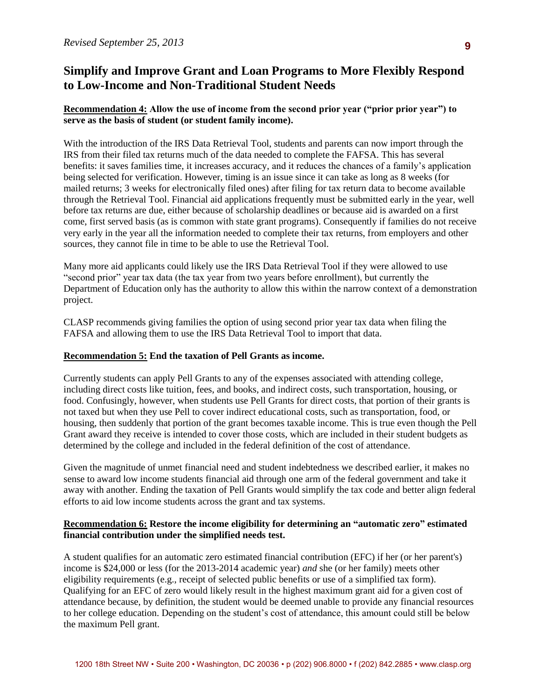# to Low-Income and Non-Traditional Student Needs **Simplify and Improve Grant and Loan Programs to More Flexibly Respond**

# **Recommendation 4: Allow the use of income from the second prior year ("prior prior year") to serve as the basis of student (or student family income).**

With the introduction of the IRS Data Retrieval Tool, students and parents can now import through the IRS from their filed tax returns much of the data needed to complete the FAFSA. This has several benefits: it saves families time, it increases accuracy, and it reduces the chances of a family's application being selected for verification. However, timing is an issue since it can take as long as 8 weeks (for mailed returns; 3 weeks for electronically filed ones) after filing for tax return data to become available through the Retrieval Tool. Financial aid applications frequently must be submitted early in the year, well before tax returns are due, either because of scholarship deadlines or because aid is awarded on a first come, first served basis (as is common with state grant programs). Consequently if families do not receive very early in the year all the information needed to complete their tax returns, from employers and other sources, they cannot file in time to be able to use the Retrieval Tool.

Many more aid applicants could likely use the IRS Data Retrieval Tool if they were allowed to use "second prior" year tax data (the tax year from two years before enrollment), but currently the Department of Education only has the authority to allow this within the narrow context of a demonstration project.

CLASP recommends giving families the option of using second prior year tax data when filing the FAFSA and allowing them to use the IRS Data Retrieval Tool to import that data.

# **Recommendation 5: End the taxation of Pell Grants as income.**

Currently students can apply Pell Grants to any of the expenses associated with attending college, including direct costs like tuition, fees, and books, and indirect costs, such transportation, housing, or food. Confusingly, however, when students use Pell Grants for direct costs, that portion of their grants is not taxed but when they use Pell to cover indirect educational costs, such as transportation, food, or housing, then suddenly that portion of the grant becomes taxable income. This is true even though the Pell Grant award they receive is intended to cover those costs, which are included in their student budgets as determined by the college and included in the federal definition of the cost of attendance.

Given the magnitude of unmet financial need and student indebtedness we described earlier, it makes no sense to award low income students financial aid through one arm of the federal government and take it away with another. Ending the taxation of Pell Grants would simplify the tax code and better align federal efforts to aid low income students across the grant and tax systems.

## **Recommendation 6: Restore the income eligibility for determining an "automatic zero" estimated financial contribution under the simplified needs test.**

A student qualifies for an automatic zero estimated financial contribution (EFC) if her (or her parent's) income is \$24,000 or less (for the 2013-2014 academic year) *and* she (or her family) meets other eligibility requirements (e.g., receipt of selected public benefits or use of a simplified tax form). Qualifying for an EFC of zero would likely result in the highest maximum grant aid for a given cost of attendance because, by definition, the student would be deemed unable to provide any financial resources to her college education. Depending on the student's cost of attendance, this amount could still be below the maximum Pell grant.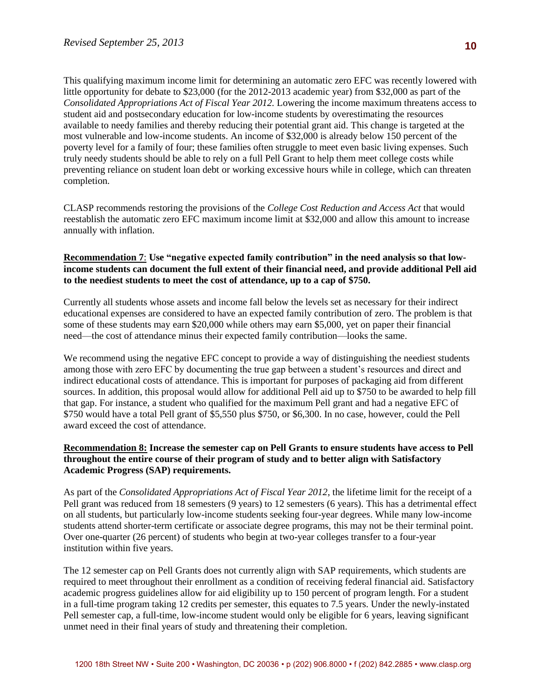This qualifying maximum income limit for determining an automatic zero EFC was recently lowered with little opportunity for debate to \$23,000 (for the 2012-2013 academic year) from \$32,000 as part of the *Consolidated Appropriations Act of Fiscal Year 2012.* Lowering the income maximum threatens access to student aid and postsecondary education for low-income students by overestimating the resources available to needy families and thereby reducing their potential grant aid. This change is targeted at the most vulnerable and low-income students. An income of \$32,000 is already below 150 percent of the poverty level for a family of four; these families often struggle to meet even basic living expenses. Such truly needy students should be able to rely on a full Pell Grant to help them meet college costs while preventing reliance on student loan debt or working excessive hours while in college, which can threaten completion.

CLASP recommends restoring the provisions of the *College Cost Reduction and Access Act* that would reestablish the automatic zero EFC maximum income limit at \$32,000 and allow this amount to increase annually with inflation.

## **Recommendation 7**: **Use "negative expected family contribution" in the need analysis so that lowincome students can document the full extent of their financial need, and provide additional Pell aid to the neediest students to meet the cost of attendance, up to a cap of \$750.**

Currently all students whose assets and income fall below the levels set as necessary for their indirect educational expenses are considered to have an expected family contribution of zero. The problem is that some of these students may earn \$20,000 while others may earn \$5,000, yet on paper their financial need—the cost of attendance minus their expected family contribution—looks the same.

We recommend using the negative EFC concept to provide a way of distinguishing the neediest students among those with zero EFC by documenting the true gap between a student's resources and direct and indirect educational costs of attendance. This is important for purposes of packaging aid from different sources. In addition, this proposal would allow for additional Pell aid up to \$750 to be awarded to help fill that gap. For instance, a student who qualified for the maximum Pell grant and had a negative EFC of \$750 would have a total Pell grant of \$5,550 plus \$750, or \$6,300. In no case, however, could the Pell award exceed the cost of attendance.

#### **Recommendation 8: Increase the semester cap on Pell Grants to ensure students have access to Pell throughout the entire course of their program of study and to better align with Satisfactory Academic Progress (SAP) requirements.**

As part of the *Consolidated Appropriations Act of Fiscal Year 2012*, the lifetime limit for the receipt of a Pell grant was reduced from 18 semesters (9 years) to 12 semesters (6 years). This has a detrimental effect on all students, but particularly low-income students seeking four-year degrees. While many low-income students attend shorter-term certificate or associate degree programs, this may not be their terminal point. Over one-quarter (26 percent) of students who begin at two-year colleges transfer to a four-year institution within five years.

The 12 semester cap on Pell Grants does not currently align with SAP requirements, which students are required to meet throughout their enrollment as a condition of receiving federal financial aid. Satisfactory academic progress guidelines allow for aid eligibility up to 150 percent of program length. For a student in a full-time program taking 12 credits per semester, this equates to 7.5 years. Under the newly-instated Pell semester cap, a full-time, low-income student would only be eligible for 6 years, leaving significant unmet need in their final years of study and threatening their completion.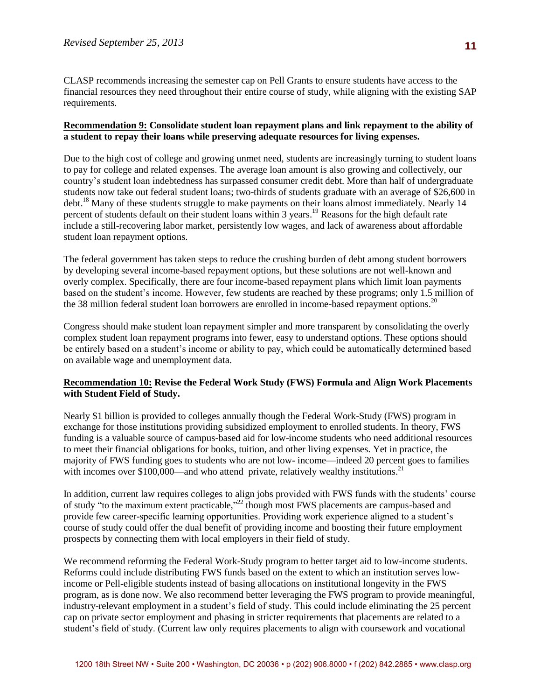CLASP recommends increasing the semester cap on Pell Grants to ensure students have access to the financial resources they need throughout their entire course of study, while aligning with the existing SAP requirements.

#### **Recommendation 9: Consolidate student loan repayment plans and link repayment to the ability of a student to repay their loans while preserving adequate resources for living expenses.**

Due to the high cost of college and growing unmet need, students are increasingly turning to student loans to pay for college and related expenses. The average loan amount is also growing and collectively, our country's student loan indebtedness has surpassed consumer credit debt. More than half of undergraduate students now take out federal student loans; two-thirds of students graduate with an average of \$26,600 in debt.<sup>18</sup> Many of these students struggle to make payments on their loans almost immediately. Nearly 14 percent of students default on their student loans within 3 years.<sup>19</sup> Reasons for the high default rate include a still-recovering labor market, persistently low wages, and lack of awareness about affordable student loan repayment options.

The federal government has taken steps to reduce the crushing burden of debt among student borrowers by developing several income-based repayment options, but these solutions are not well-known and overly complex. Specifically, there are four income-based repayment plans which limit loan payments based on the student's income. However, few students are reached by these programs; only 1.5 million of the 38 million federal student loan borrowers are enrolled in income-based repayment options.<sup>20</sup>

Congress should make student loan repayment simpler and more transparent by consolidating the overly complex student loan repayment programs into fewer, easy to understand options. These options should be entirely based on a student's income or ability to pay, which could be automatically determined based on available wage and unemployment data.

## **Recommendation 10: Revise the Federal Work Study (FWS) Formula and Align Work Placements with Student Field of Study.**

Nearly \$1 billion is provided to colleges annually though the Federal Work-Study (FWS) program in exchange for those institutions providing subsidized employment to enrolled students. In theory, FWS funding is a valuable source of campus-based aid for low-income students who need additional resources to meet their financial obligations for books, tuition, and other living expenses. Yet in practice, the majority of FWS funding goes to students who are not low- income—indeed 20 percent goes to families with incomes over \$100,000—and who attend private, relatively wealthy institutions.<sup>21</sup>

In addition, current law requires colleges to align jobs provided with FWS funds with the students' course of study "to the maximum extent practicable,"<sup>22</sup> though most FWS placements are campus-based and provide few career-specific learning opportunities. Providing work experience aligned to a student's course of study could offer the dual benefit of providing income and boosting their future employment prospects by connecting them with local employers in their field of study.

We recommend reforming the Federal Work-Study program to better target aid to low-income students. Reforms could include distributing FWS funds based on the extent to which an institution serves lowincome or Pell-eligible students instead of basing allocations on institutional longevity in the FWS program, as is done now. We also recommend better leveraging the FWS program to provide meaningful, industry-relevant employment in a student's field of study. This could include eliminating the 25 percent cap on private sector employment and phasing in stricter requirements that placements are related to a student's field of study. (Current law only requires placements to align with coursework and vocational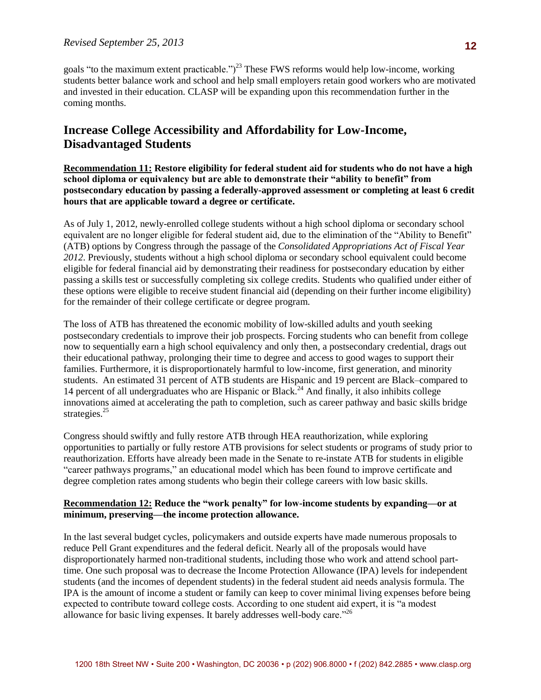students better balance work and school and help small employers retain good workers who are motivated goals "to the maximum extent practicable." $i^{23}$  These FWS reforms would help low-income, working and invested in their education. CLASP will be expanding upon this recommendation further in the coming months.

# **Increase College Accessibility and Affordability for Low-Income, Disadvantaged Students**

**Recommendation 11: Restore eligibility for federal student aid for students who do not have a high school diploma or equivalency but are able to demonstrate their "ability to benefit" from postsecondary education by passing a federally-approved assessment or completing at least 6 credit hours that are applicable toward a degree or certificate.** 

As of July 1, 2012, newly-enrolled college students without a high school diploma or secondary school equivalent are no longer eligible for federal student aid, due to the elimination of the "Ability to Benefit" (ATB) options by Congress through the passage of the *Consolidated Appropriations Act of Fiscal Year 2012*. Previously, students without a high school diploma or secondary school equivalent could become eligible for federal financial aid by demonstrating their readiness for postsecondary education by either passing a skills test or successfully completing six college credits. Students who qualified under either of these options were eligible to receive student financial aid (depending on their further income eligibility) for the remainder of their college certificate or degree program.

The loss of ATB has threatened the economic mobility of low-skilled adults and youth seeking postsecondary credentials to improve their job prospects. Forcing students who can benefit from college now to sequentially earn a high school equivalency and only then, a postsecondary credential, drags out their educational pathway, prolonging their time to degree and access to good wages to support their families. Furthermore, it is disproportionately harmful to low-income, first generation, and minority students. An estimated 31 percent of ATB students are Hispanic and 19 percent are Black–compared to 14 percent of all undergraduates who are Hispanic or Black.<sup>24</sup> And finally, it also inhibits college innovations aimed at accelerating the path to completion, such as career pathway and basic skills bridge strategies.<sup>25</sup>

Congress should swiftly and fully restore ATB through HEA reauthorization, while exploring opportunities to partially or fully restore ATB provisions for select students or programs of study prior to reauthorization. Efforts have already been made in the Senate to re-instate ATB for students in eligible "career pathways programs," an educational model which has been found to improve certificate and degree completion rates among students who begin their college careers with low basic skills.

## **Recommendation 12: Reduce the "work penalty" for low-income students by expanding—or at minimum, preserving—the income protection allowance.**

In the last several budget cycles, policymakers and outside experts have made numerous proposals to reduce Pell Grant expenditures and the federal deficit. Nearly all of the proposals would have disproportionately harmed non-traditional students, including those who work and attend school parttime. One such proposal was to decrease the Income Protection Allowance (IPA) levels for independent students (and the incomes of dependent students) in the federal student aid needs analysis formula. The IPA is the amount of income a student or family can keep to cover minimal living expenses before being expected to contribute toward college costs. According to one student aid expert, it is "a modest allowance for basic living expenses. It barely addresses well-body care."<sup>26</sup>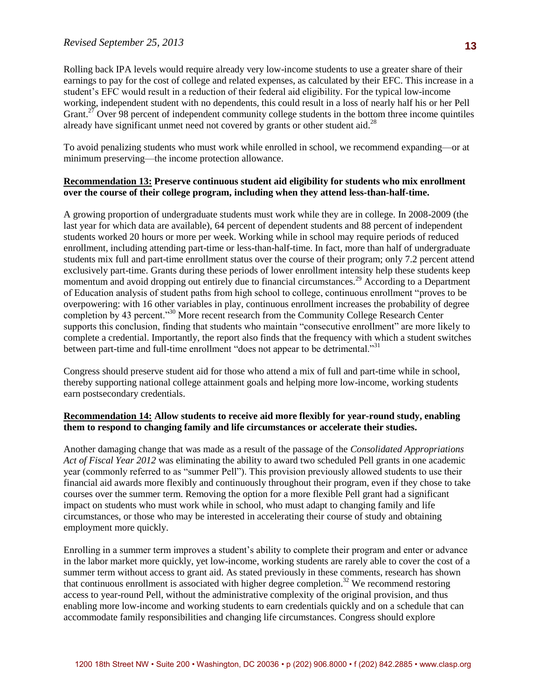earnings to pay for the cost of college and related expenses, as calculated by their EFC. This increase in a Rolling back IPA levels would require already very low-income students to use a greater share of their student's EFC would result in a reduction of their federal aid eligibility. For the typical low-income working, independent student with no dependents, this could result in a loss of nearly half his or her Pell Grant.<sup>27</sup> Over 98 percent of independent community college students in the bottom three income quintiles already have significant unmet need not covered by grants or other student aid.<sup>28</sup>

To avoid penalizing students who must work while enrolled in school, we recommend expanding—or at minimum preserving—the income protection allowance.

### **Recommendation 13: Preserve continuous student aid eligibility for students who mix enrollment over the course of their college program, including when they attend less-than-half-time.**

A growing proportion of undergraduate students must work while they are in college. In 2008-2009 (the last year for which data are available), 64 percent of dependent students and 88 percent of independent students worked 20 hours or more per week. Working while in school may require periods of reduced enrollment, including attending part-time or less-than-half-time. In fact, more than half of undergraduate students mix full and part-time enrollment status over the course of their program; only 7.2 percent attend exclusively part-time. Grants during these periods of lower enrollment intensity help these students keep momentum and avoid dropping out entirely due to financial circumstances.<sup>29</sup> According to a Department of Education analysis of student paths from high school to college, continuous enrollment "proves to be overpowering: with 16 other variables in play, continuous enrollment increases the probability of degree completion by 43 percent."<sup>30</sup> More recent research from the Community College Research Center supports this conclusion, finding that students who maintain "consecutive enrollment" are more likely to complete a credential. Importantly, the report also finds that the frequency with which a student switches between part-time and full-time enrollment "does not appear to be detrimental."<sup>31</sup>

Congress should preserve student aid for those who attend a mix of full and part-time while in school, thereby supporting national college attainment goals and helping more low-income, working students earn postsecondary credentials.

#### **Recommendation 14: Allow students to receive aid more flexibly for year-round study, enabling them to respond to changing family and life circumstances or accelerate their studies.**

Another damaging change that was made as a result of the passage of the *Consolidated Appropriations Act of Fiscal Year 2012* was eliminating the ability to award two scheduled Pell grants in one academic year (commonly referred to as "summer Pell"). This provision previously allowed students to use their financial aid awards more flexibly and continuously throughout their program, even if they chose to take courses over the summer term. Removing the option for a more flexible Pell grant had a significant impact on students who must work while in school, who must adapt to changing family and life circumstances, or those who may be interested in accelerating their course of study and obtaining employment more quickly.

Enrolling in a summer term improves a student's ability to complete their program and enter or advance in the labor market more quickly, yet low-income, working students are rarely able to cover the cost of a summer term without access to grant aid. As stated previously in these comments, research has shown that continuous enrollment is associated with higher degree completion.<sup>32</sup> We recommend restoring access to year-round Pell, without the administrative complexity of the original provision, and thus enabling more low-income and working students to earn credentials quickly and on a schedule that can accommodate family responsibilities and changing life circumstances. Congress should explore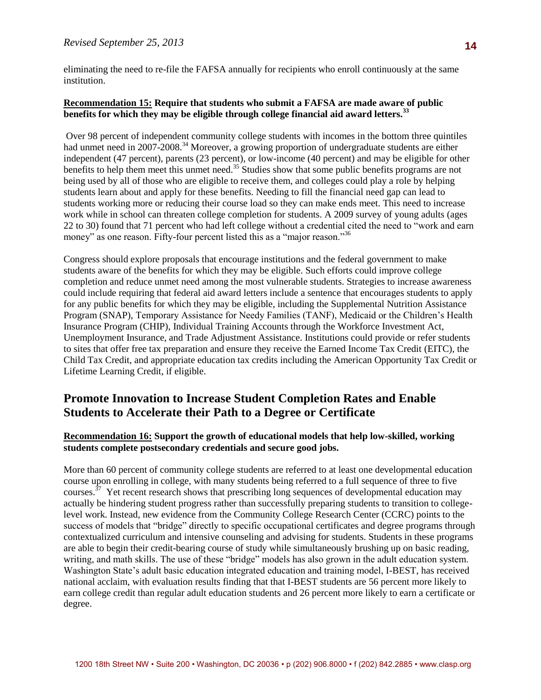eliminating the need to re-file the FAFSA annually for recipients who enroll continuously at the same institution.

## **Recommendation 15: Require that students who submit a FAFSA are made aware of public benefits for which they may be eligible through college financial aid award letters.<sup>33</sup>**

Over 98 percent of independent community college students with incomes in the bottom three quintiles had unmet need in 2007-2008.<sup>34</sup> Moreover, a growing proportion of undergraduate students are either independent (47 percent), parents (23 percent), or low-income (40 percent) and may be eligible for other benefits to help them meet this unmet need.<sup>35</sup> Studies show that some public benefits programs are not being used by all of those who are eligible to receive them, and colleges could play a role by helping students learn about and apply for these benefits. Needing to fill the financial need gap can lead to students working more or reducing their course load so they can make ends meet. This need to increase work while in school can threaten college completion for students. A 2009 survey of young adults (ages 22 to 30) found that 71 percent who had left college without a credential cited the need to "work and earn money" as one reason. Fifty-four percent listed this as a "major reason."<sup>36</sup>

Congress should explore proposals that encourage institutions and the federal government to make students aware of the benefits for which they may be eligible. Such efforts could improve college completion and reduce unmet need among the most vulnerable students. Strategies to increase awareness could include requiring that federal aid award letters include a sentence that encourages students to apply for any public benefits for which they may be eligible, including the Supplemental Nutrition Assistance Program (SNAP), Temporary Assistance for Needy Families (TANF), Medicaid or the Children's Health Insurance Program (CHIP), Individual Training Accounts through the Workforce Investment Act, Unemployment Insurance, and Trade Adjustment Assistance. Institutions could provide or refer students to sites that offer free tax preparation and ensure they receive the Earned Income Tax Credit (EITC), the Child Tax Credit, and appropriate education tax credits including the American Opportunity Tax Credit or Lifetime Learning Credit, if eligible.

# **Promote Innovation to Increase Student Completion Rates and Enable Students to Accelerate their Path to a Degree or Certificate**

#### **Recommendation 16: Support the growth of educational models that help low-skilled, working students complete postsecondary credentials and secure good jobs.**

More than 60 percent of community college students are referred to at least one developmental education course upon enrolling in college, with many students being referred to a full sequence of three to five courses.<sup>37</sup> Yet recent research shows that prescribing long sequences of developmental education may actually be hindering student progress rather than successfully preparing students to transition to collegelevel work. Instead, new evidence from the Community College Research Center (CCRC) points to the success of models that "bridge" directly to specific occupational certificates and degree programs through contextualized curriculum and intensive counseling and advising for students. Students in these programs are able to begin their credit-bearing course of study while simultaneously brushing up on basic reading, writing, and math skills. The use of these "bridge" models has also grown in the adult education system. Washington State's adult basic education integrated education and training model, I-BEST, has received national acclaim, with evaluation results finding that that I-BEST students are 56 percent more likely to earn college credit than regular adult education students and 26 percent more likely to earn a certificate or degree.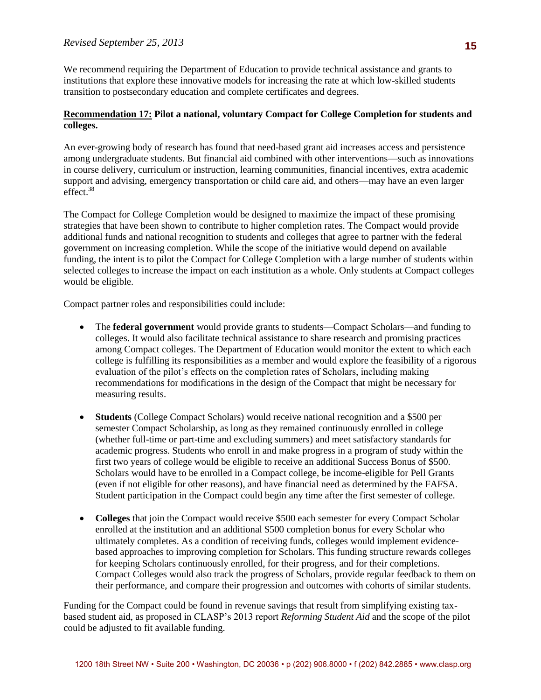institutions that explore these innovative models for increasing the rate at which low-skilled students We recommend requiring the Department of Education to provide technical assistance and grants to transition to postsecondary education and complete certificates and degrees.

## **Recommendation 17: Pilot a national, voluntary Compact for College Completion for students and colleges.**

An ever-growing body of research has found that need-based grant aid increases access and persistence among undergraduate students. But financial aid combined with other interventions—such as innovations in course delivery, curriculum or instruction, learning communities, financial incentives, extra academic support and advising, emergency transportation or child care aid, and others—may have an even larger effect.<sup>38</sup>

The Compact for College Completion would be designed to maximize the impact of these promising strategies that have been shown to contribute to higher completion rates. The Compact would provide additional funds and national recognition to students and colleges that agree to partner with the federal government on increasing completion. While the scope of the initiative would depend on available funding, the intent is to pilot the Compact for College Completion with a large number of students within selected colleges to increase the impact on each institution as a whole. Only students at Compact colleges would be eligible.

Compact partner roles and responsibilities could include:

- The **federal government** would provide grants to students—Compact Scholars—and funding to colleges. It would also facilitate technical assistance to share research and promising practices among Compact colleges. The Department of Education would monitor the extent to which each college is fulfilling its responsibilities as a member and would explore the feasibility of a rigorous evaluation of the pilot's effects on the completion rates of Scholars, including making recommendations for modifications in the design of the Compact that might be necessary for measuring results.
- **Students** (College Compact Scholars) would receive national recognition and a \$500 per semester Compact Scholarship, as long as they remained continuously enrolled in college (whether full-time or part-time and excluding summers) and meet satisfactory standards for academic progress. Students who enroll in and make progress in a program of study within the first two years of college would be eligible to receive an additional Success Bonus of \$500. Scholars would have to be enrolled in a Compact college, be income-eligible for Pell Grants (even if not eligible for other reasons), and have financial need as determined by the FAFSA. Student participation in the Compact could begin any time after the first semester of college.
- **Colleges** that join the Compact would receive \$500 each semester for every Compact Scholar enrolled at the institution and an additional \$500 completion bonus for every Scholar who ultimately completes. As a condition of receiving funds, colleges would implement evidencebased approaches to improving completion for Scholars. This funding structure rewards colleges for keeping Scholars continuously enrolled, for their progress, and for their completions. Compact Colleges would also track the progress of Scholars, provide regular feedback to them on their performance, and compare their progression and outcomes with cohorts of similar students.

Funding for the Compact could be found in revenue savings that result from simplifying existing taxbased student aid, as proposed in CLASP's 2013 report *Reforming Student Aid* and the scope of the pilot could be adjusted to fit available funding.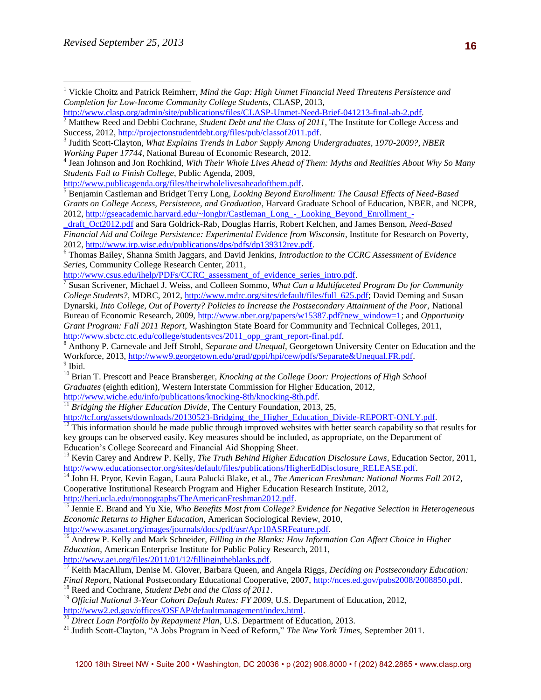3 Judith Scott-Clayton, *What Explains Trends in Labor Supply Among Undergraduates, 1970-2009?, NBER Working Paper 17744,* National Bureau of Economic Research, 2012.

4 Jean Johnson and Jon Rochkind, *With Their Whole Lives Ahead of Them: Myths and Realities About Why So Many Students Fail to Finish College*, Public Agenda, 2009,

[http://www.publicagenda.org/files/theirwholelivesaheadofthem.pdf.](http://www.publicagenda.org/files/theirwholelivesaheadofthem.pdf)

<sup>5</sup> Benjamin Castleman and Bridget Terry Long, *Looking Beyond Enrollment: The Causal Effects of Need-Based Grants on College Access, Persistence, and Graduation*, Harvard Graduate School of Education, NBER, and NCPR, 2012, [http://gseacademic.harvard.edu/~longbr/Castleman\\_Long\\_-\\_Looking\\_Beyond\\_Enrollment\\_-](http://gseacademic.harvard.edu/~longbr/Castleman_Long_-_Looking_Beyond_Enrollment_-_draft_Oct2012.pdf)

[\\_draft\\_Oct2012.pdf](http://gseacademic.harvard.edu/~longbr/Castleman_Long_-_Looking_Beyond_Enrollment_-_draft_Oct2012.pdf) and Sara Goldrick-Rab, Douglas Harris, Robert Kelchen, and James Benson, *Need-Based Financial Aid and College Persistence: Experimental Evidence from Wisconsin*, Institute for Research on Poverty, 2012, [http://www.irp.wisc.edu/publications/dps/pdfs/dp139312rev.pdf.](http://www.irp.wisc.edu/publications/dps/pdfs/dp139312rev.pdf)

<sup>6</sup> Thomas Bailey, Shanna Smith Jaggars, and David Jenkins, *Introduction to the CCRC Assessment of Evidence Series*, Community College Research Center, 2011,

[http://www.csus.edu/ihelp/PDFs/CCRC\\_assessment\\_of\\_evidence\\_series\\_intro.pdf.](http://www.csus.edu/ihelp/PDFs/CCRC_assessment_of_evidence_series_intro.pdf)

7 Susan Scrivener, Michael J. Weiss, and Colleen Sommo, *What Can a Multifaceted Program Do for Community College Students?,* MDRC, 2012, [http://www.mdrc.org/sites/default/files/full\\_625.pdf;](http://www.mdrc.org/sites/default/files/full_625.pdf) David Deming and Susan Dynarski, *Into College, Out of Poverty? Policies to Increase the Postsecondary Attainment of the Poor,* National Bureau of Economic Research, 2009, [http://www.nber.org/papers/w15387.pdf?new\\_window=1;](http://www.nber.org/papers/w15387.pdf?new_window=1) and *Opportunity Grant Program: Fall 2011 Report*, Washington State Board for Community and Technical Colleges, 2011, [http://www.sbctc.ctc.edu/college/studentsvcs/2011\\_opp\\_grant\\_report-final.pdf.](http://www.sbctc.ctc.edu/college/studentsvcs/2011_opp_grant_report-final.pdf)

<sup>8</sup> Anthony P. Carnevale and Jeff Strohl, *Separate and Unequal*, Georgetown University Center on Education and the Workforce, 2013, [http://www9.georgetown.edu/grad/gppi/hpi/cew/pdfs/Separate&Unequal.FR.pdf.](http://www9.georgetown.edu/grad/gppi/hpi/cew/pdfs/Separate&Unequal.FR.pdf) <sup>9</sup> Ibid.

<sup>10</sup> Brian T. Prescott and Peace Bransberger, *Knocking at the College Door: Projections of High School Graduates* (eighth edition), Western Interstate Commission for Higher Education, 2012, [http://www.wiche.edu/info/publications/knocking-8th/knocking-8th.pdf.](http://www.wiche.edu/info/publications/knocking-8th/knocking-8th.pdf) 

<sup>11</sup> Bridging the Higher Education Divide, The Century Foundation, 2013, 25,

[http://tcf.org/assets/downloads/20130523-Bridging\\_the\\_Higher\\_Education\\_Divide-REPORT-ONLY.pdf.](http://tcf.org/assets/downloads/20130523-Bridging_the_Higher_Education_Divide-REPORT-ONLY.pdf)

 $12$  This information should be made public through improved websites with better search capability so that results for key groups can be observed easily. Key measures should be included, as appropriate, on the Department of Education's College Scorecard and Financial Aid Shopping Sheet.

<sup>13</sup> Kevin Carey and Andrew P. Kelly, *The Truth Behind Higher Education Disclosure Laws*, Education Sector, 2011, [http://www.educationsector.org/sites/default/files/publications/HigherEdDisclosure\\_RELEASE.pdf.](http://www.educationsector.org/sites/default/files/publications/HigherEdDisclosure_RELEASE.pdf)

<sup>14</sup> John H. Pryor, Kevin Eagan, Laura Palucki Blake, et al., *The American Freshman: National Norms Fall 2012*, Cooperative Institutional Research Program and Higher Education Research Institute, 2012, [http://heri.ucla.edu/monographs/TheAmericanFreshman2012.pdf.](http://heri.ucla.edu/monographs/TheAmericanFreshman2012.pdf)

<sup>15</sup> Jennie E. Brand and Yu Xie, *Who Benefits Most from College? Evidence for Negative Selection in Heterogeneous* 

*Economic Returns to Higher Education*, American Sociological Review, 2010, [http://www.asanet.org/images/journals/docs/pdf/asr/Apr10ASRFeature.pdf.](http://www.asanet.org/images/journals/docs/pdf/asr/Apr10ASRFeature.pdf)

<sup>16</sup> Andrew P. Kelly and Mark Schneider, Filling in the Blanks: How Information Can Affect Choice in Higher *Education*, American Enterprise Institute for Public Policy Research, 2011,

[http://www.aei.org/files/2011/01/12/fillingintheblanks.pdf.](http://www.aei.org/files/2011/01/12/fillingintheblanks.pdf)

<sup>17</sup> Keith MacAllum, Denise M. Glover, Barbara Queen, and Angela Riggs, *Deciding on Postsecondary Education: Final Report*, National Postsecondary Educational Cooperative, 2007[, http://nces.ed.gov/pubs2008/2008850.pdf.](http://nces.ed.gov/pubs2008/2008850.pdf) <sup>18</sup> Reed and Cochrane, *Student Debt and the Class of 2011*.

<sup>19</sup> *Official National 3-Year Cohort Default Rates: FY 2009*, U.S. Department of Education, 2012, [http://www2.ed.gov/offices/OSFAP/defaultmanagement/index.html.](http://www2.ed.gov/offices/OSFAP/defaultmanagement/index.html) 

<sup>20</sup> Direct Loan Portfolio by Repayment Plan, U.S. Department of Education, 2013.

<sup>21</sup> Judith Scott-Clayton, "A Jobs Program in Need of Reform," *The New York Times*, September 2011.

<sup>&</sup>lt;sup>1</sup> Vickie Choitz and Patrick Reimherr, *Mind the Gap: High Unmet Financial Need Threatens Persistence and Completion for Low-Income Community College Students*, CLASP, 2013,

[http://www.clasp.org/admin/site/publications/files/CLASP-Unmet-Need-Brief-041213-final-ab-2.pdf.](http://www.clasp.org/admin/site/publications/files/CLASP-Unmet-Need-Brief-041213-final-ab-2.pdf)

<sup>&</sup>lt;sup>2</sup> Matthew Reed and Debbi Cochrane, *Student Debt and the Class of 2011*, The Institute for College Access and Success, 2012[, http://projectonstudentdebt.org/files/pub/classof2011.pdf.](http://projectonstudentdebt.org/files/pub/classof2011.pdf)